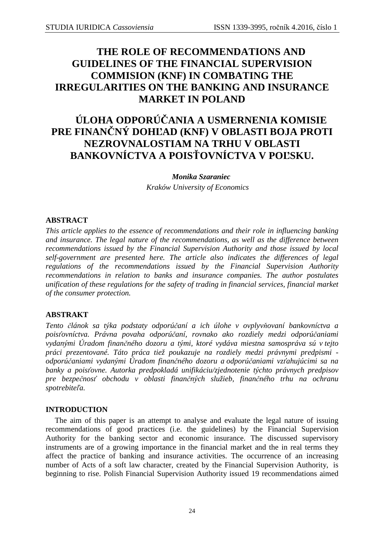# **THE ROLE OF RECOMMENDATIONS AND GUIDELINES OF THE FINANCIAL SUPERVISION COMMISION (KNF) IN COMBATING THE IRREGULARITIES ON THE BANKING AND INSURANCE MARKET IN POLAND**

# **ÚLOHA ODPORÚČANIA A USMERNENIA KOMISIE PRE FINANČNÝ DOHĽAD (KNF) V OBLASTI BOJA PROTI NEZROVNALOSTIAM NA TRHU V OBLASTI BANKOVNÍCTVA A POISŤOVNÍCTVA V POĽSKU.**

*Monika Szaraniec*  *Kraków University of Economics* 

# **ABSTRACT**

*This article applies to the essence of recommendations and their role in influencing banking and insurance. The legal nature of the recommendations, as well as the difference between recommendations issued by the Financial Supervision Authority and those issued by local self-government are presented here. The article also indicates the differences of legal regulations of the recommendations issued by the Financial Supervision Authority recommendations in relation to banks and insurance companies. The author postulates unification of these regulations for the safety of trading in financial services, financial market of the consumer protection.* 

## **ABSTRAKT**

*Tento článok sa týka podstaty odporúčaní a ich úlohe v ovplyvňovaní bankovníctva a poisťovníctva. Právna povaha odporúčaní, rovnako ako rozdiely medzi odporúčaniami vydanými Úradom finančného dozoru a tými, ktoré vydáva miestna samospráva sú v tejto práci prezentované. Táto práca tiež poukazuje na rozdiely medzi právnymi predpismi odporúčaniami vydanými Úradom finančného dozoru a odporúčaniami vzťahujúcimi sa na banky a poisťovne. Autorka predpokladá unifikáciu/zjednotenie týchto právnych predpisov pre bezpečnosť obchodu v oblasti finančných služieb, finančného trhu na ochranu spotrebiteľa.* 

#### **INTRODUCTION**

The aim of this paper is an attempt to analyse and evaluate the legal nature of issuing recommendations of good practices (i.e. the guidelines) by the Financial Supervision Authority for the banking sector and economic insurance. The discussed supervisory instruments are of a growing importance in the financial market and the in real terms they affect the practice of banking and insurance activities. The occurrence of an increasing number of Acts of a soft law character, created by the Financial Supervision Authority, is beginning to rise. Polish Financial Supervision Authority issued 19 recommendations aimed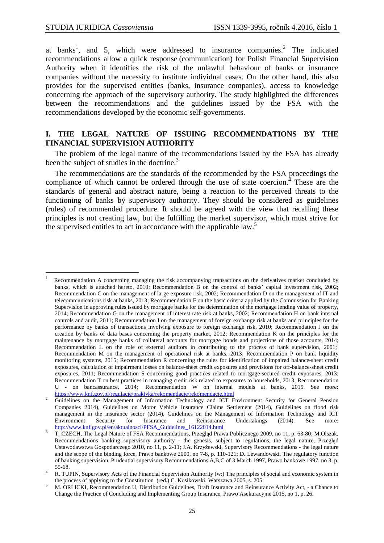$\overline{a}$ 

at banks<sup>1</sup>, and 5, which were addressed to insurance companies.<sup>2</sup> The indicated recommendations allow a quick response (communication) for Polish Financial Supervision Authority when it identifies the risk of the unlawful behaviour of banks or insurance companies without the necessity to institute individual cases. On the other hand, this also provides for the supervised entities (banks, insurance companies), access to knowledge concerning the approach of the supervisory authority. The study highlighted the differences between the recommendations and the guidelines issued by the FSA with the recommendations developed by the economic self-governments.

#### **I. THE LEGAL NATURE OF ISSUING RECOMMENDATIONS BY THE FINANCIAL SUPERVISION AUTHORITY**

The problem of the legal nature of the recommendations issued by the FSA has already been the subject of studies in the doctrine.<sup>3</sup>

The recommendations are the standards of the recommended by the FSA proceedings the compliance of which cannot be ordered through the use of state coercion.<sup>4</sup> These are the standards of general and abstract nature, being a reaction to the perceived threats to the functioning of banks by supervisory authority. They should be considered as guidelines (rules) of recommended procedure. It should be agreed with the view that recalling these principles is not creating law, but the fulfilling the market supervisor, which must strive for the supervised entities to act in accordance with the applicable law.<sup>5</sup>

<sup>1</sup> Recommendation A concerning managing the risk accompanying transactions on the derivatives market concluded by banks, which is attached hereto, 2010; Recommendation B on the control of banks' capital investment risk, 2002; Recommendation C on the management of large exposure risk, 2002; Recommendation D on the management of IT and telecommunications risk at banks, 2013; Recommendation F on the basic criteria applied by the Commission for Banking Supervision in approving rules issued by mortgage banks for the determination of the mortgage lending value of property, 2014; Recommendation G on the management of interest rate risk at banks, 2002; Recommendation H on bank internal controls and audit, 2011; Recommendation I on the management of foreign exchange risk at banks and principles for the performance by banks of transactions involving exposure to foreign exchange risk, 2010; Recommendation J on the creation by banks of data bases concerning the property market, 2012; Recommendation K on the principles for the maintenance by mortgage banks of collateral accounts for mortgage bonds and projections of those accounts, 2014; Recommendation L on the role of external auditors in contributing to the process of bank supervision, 2001; Recommendation M on the management of operational risk at banks, 2013; Recommendation P on bank liquidity monitoring systems, 2015; Recommendation R concerning the rules for identification of impaired balance-sheet credit exposures, calculation of impairment losses on balance-sheet credit exposures and provisions for off-balance-sheet credit exposures, 2011; Recommendation S concerning good practices related to mortgage-secured credit exposures, 2013; Recommendation T on best practices in managing credit risk related to exposures to households, 2013; Recommendation U - on bancassurance, 2014; Recommendation W on internal models at banks, 2015. See more: https://www.knf.gov.pl/regulacje/praktyka/rekomendacje/rekomendacje.html

<sup>2</sup> Guidelines on the Management of Information Technology and ICT Environment Security for General Pension Companies 2014), Guidelines on Motor Vehicle Insurance Claims Settlement (2014), Guidelines on flood risk management in the insurance sector (2014), Guidelines on the Management of Information Technology and ICT<br>Environment Security for Insurance and Reinsurance Undertakings (2014). See more: Environment Security for Insurance and Reinsurance Undertakings (2014). See more: http://www.knf.gov.pl/en/aktualnosci/PFSA\_Guidelines\_16122014.html

<sup>3</sup> T. CZECH, The Legal Nature of FSA Recommendations, Przegląd Prawa Publicznego 2009, no 11, p. 63-80; M.Olszak, Recommendations banking supervisory authority - the genesis, subject to regulations, the legal nature, Przegląd Ustawodawstwa Gospodarczego 2010, no 11, p. 2-11; J.A. Krzyżewski, Supervisory Recommendations - the legal nature and the scope of the binding force, Prawo bankowe 2000, no 7-8, p. 110-121; D. Lewandowski, The regulatory function of banking supervision. Prudential supervisory Recommendations A,B,C of 3 March 1997, Prawo bankowe 1997, no 3, p. 55-68.

<sup>4</sup> R. TUPIN, Supervisory Acts of the Financial Supervision Authority (w:) The principles of social and economic system in the process of applying to the Constitution (red.) C. Kosikowski, Warszawa 2005, s. 205.

<sup>5</sup> M. ORLICKI, Recommendation U, Distribution Guidelines, Draft Insurance and Reinsurance Activity Act, - a Chance to Change the Practice of Concluding and Implementing Group Insurance, Prawo Asekuracyjne 2015, no 1, p. 26.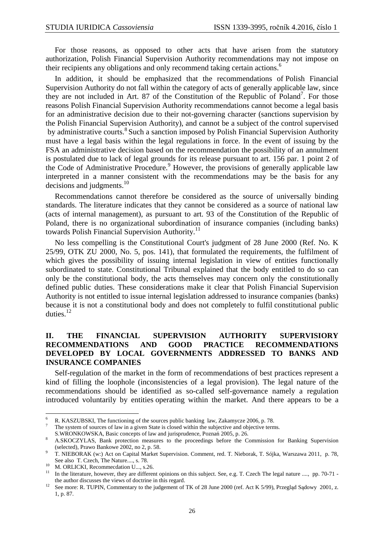For those reasons, as opposed to other acts that have arisen from the statutory authorization, Polish Financial Supervision Authority recommendations may not impose on their recipients any obligations and only recommend taking certain actions.<sup>6</sup>

In addition, it should be emphasized that the recommendations of Polish Financial Supervision Authority do not fall within the category of acts of generally applicable law, since they are not included in Art. 87 of the Constitution of the Republic of Poland<sup>7</sup>. For those reasons Polish Financial Supervision Authority recommendations cannot become a legal basis for an administrative decision due to their not-governing character (sanctions supervision by the Polish Financial Supervision Authority), and cannot be a subject of the control supervised by administrative courts.<sup>8</sup> Such a sanction imposed by Polish Financial Supervision Authority must have a legal basis within the legal regulations in force. In the event of issuing by the FSA an administrative decision based on the recommendation the possibility of an annulment is postulated due to lack of legal grounds for its release pursuant to art. 156 par. 1 point 2 of the Code of Administrative Procedure.<sup>9</sup> However, the provisions of generally applicable law interpreted in a manner consistent with the recommendations may be the basis for any decisions and judgments.<sup>10</sup>

Recommendations cannot therefore be considered as the source of universally binding standards. The literature indicates that they cannot be considered as a source of national law (acts of internal management), as pursuant to art. 93 of the Constitution of the Republic of Poland, there is no organizational subordination of insurance companies (including banks) towards Polish Financial Supervision Authority.<sup>11</sup>

No less compelling is the Constitutional Court's judgment of 28 June 2000 (Ref. No. K 25/99, OTK ZU 2000, No. 5, pos. 141), that formulated the requirements, the fulfilment of which gives the possibility of issuing internal legislation in view of entities functionally subordinated to state. Constitutional Tribunal explained that the body entitled to do so can only be the constitutional body, the acts themselves may concern only the constitutionally defined public duties. These considerations make it clear that Polish Financial Supervision Authority is not entitled to issue internal legislation addressed to insurance companies (banks) because it is not a constitutional body and does not completely to fulfil constitutional public duties.<sup>12</sup>

#### **II. THE FINANCIAL SUPERVISION AUTHORITY SUPERVISIORY RECOMMENDATIONS AND GOOD PRACTICE RECOMMENDATIONS DEVELOPED BY LOCAL GOVERNMENTS ADDRESSED TO BANKS AND INSURANCE COMPANIES**

Self-regulation of the market in the form of recommendations of best practices represent a kind of filling the loophole (inconsistencies of a legal provision). The legal nature of the recommendations should be identified as so-called self-governance namely a regulation introduced voluntarily by entities operating within the market. And there appears to be a

The system of sources of law in a given State is closed within the subjective and objective terms.

 $\frac{1}{6}$  R. KASZUBSKI, The functioning of the sources public banking law, Zakamycze 2006, p. 78. 7

S.WRONKOWSKA, Basic concepts of law and jurisprudence, Poznań 2005, p. 26.

<sup>8</sup> A.SKOCZYLAS, Bank protection measures to the proceedings before the Commission for Banking Supervision (selected), Prawo Bankowe 2002, no 2, p. 58.  $\alpha$ 

T. NIEBORAK (w:) Act on Capital Market Supervision. Comment, red. T. Nieborak, T. Sójka, Warszawa 2011, p. 78, See also T. Czech, The Nature...., s. 78.

<sup>&</sup>lt;sup>10</sup> M. ORLICKI, Recommecdation U..., s.26.

In the literature, however, they are different opinions on this subject. See, e.g. T. Czech The legal nature ...., pp. 70-71 the author discusses the views of doctrine in this regard.

See more: R. TUPIN, Commentary to the judgement of TK of 28 June 2000 (ref. Act K 5/99), Przegląd Sądowy 2001, z. 1, p. 87.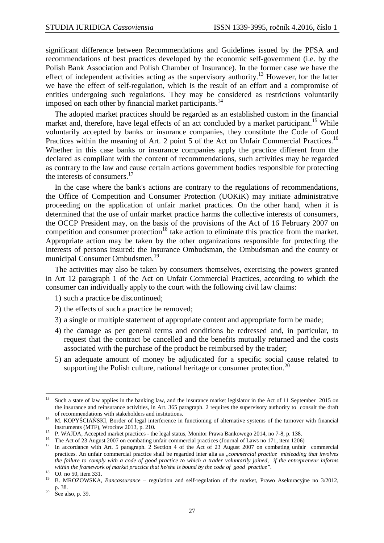significant difference between Recommendations and Guidelines issued by the PFSA and recommendations of best practices developed by the economic self-government (i.e. by the Polish Bank Association and Polish Chamber of Insurance). In the former case we have the effect of independent activities acting as the supervisory authority.<sup>13</sup> However, for the latter we have the effect of self-regulation, which is the result of an effort and a compromise of entities undergoing such regulations. They may be considered as restrictions voluntarily imposed on each other by financial market participants.<sup>14</sup>

The adopted market practices should be regarded as an established custom in the financial market and, therefore, have legal effects of an act concluded by a market participant.<sup>15</sup> While voluntarily accepted by banks or insurance companies, they constitute the Code of Good Practices within the meaning of Art. 2 point 5 of the Act on Unfair Commercial Practices.<sup>16</sup> Whether in this case banks or insurance companies apply the practice different from the declared as compliant with the content of recommendations, such activities may be regarded as contrary to the law and cause certain actions government bodies responsible for protecting the interests of consumers.<sup>17</sup>

In the case where the bank's actions are contrary to the regulations of recommendations, the Office of Competition and Consumer Protection (UOKiK) may initiate administrative proceeding on the application of unfair market practices. On the other hand, when it is determined that the use of unfair market practice harms the collective interests of consumers, the OCCP President may, on the basis of the provisions of the Act of 16 February 2007 on competition and consumer protection<sup>18</sup> take action to eliminate this practice from the market. Appropriate action may be taken by the other organizations responsible for protecting the interests of persons insured: the Insurance Ombudsman, the Ombudsman and the county or municipal Consumer Ombudsmen.<sup>19</sup>

The activities may also be taken by consumers themselves, exercising the powers granted in Art 12 paragraph 1 of the Act on Unfair Commercial Practices, according to which the consumer can individually apply to the court with the following civil law claims:

- 1) such a practice be discontinued;
- 2) the effects of such a practice be removed;
- 3) a single or multiple statement of appropriate content and appropriate form be made;
- 4) the damage as per general terms and conditions be redressed and, in particular, to request that the contract be cancelled and the benefits mutually returned and the costs associated with the purchase of the product be reimbursed by the trader;
- 5) an adequate amount of money be adjudicated for a specific social cause related to supporting the Polish culture, national heritage or consumer protection.<sup>20</sup>

<sup>13</sup> Such a state of law applies in the banking law, and the insurance market legislator in the Act of 11 September 2015 on the insurance and reinsurance activities, in Art. 365 paragraph. 2 requires the supervisory authority to consult the draft of recommendations with stakeholders and institutions.

<sup>&</sup>lt;sup>14</sup> M. KOPYŚCIAŃSKI, Border of legal interference in functioning of alternative systems of the turnover with financial instruments (MTF), Wrocław 2013, p. 210.

<sup>&</sup>lt;sup>15</sup> P. WAJDA, Accepted market practices - the legal status, Monitor Prawa Bankowego 2014, no 7-8, p. 138.

<sup>&</sup>lt;sup>16</sup> The Act of 23 August 2007 on combating unfair commercial practices (Journal of Laws no 171, item 1206)

In accordance with Art. 5 paragraph. 2 Section 4 of the Act of 23 August 2007 on combating unfair commercial practices. An unfair commercial practice shall be regarded inter alia as "*commercial practice misleading that involves the failure to comply with a code of good practice to which a trader voluntarily joined, if the entrepreneur informs within the framework of market practice that he/she is bound by the code of good practice".*

<sup>&</sup>lt;sup>18</sup> OJ. no 50, item 331.

<sup>19</sup> B. MROZOWSKA, *Bancassurance* – regulation and self-regulation of the market, Prawo Asekuracyjne no 3/2012, p. 38.

 $20$  See also, p. 39.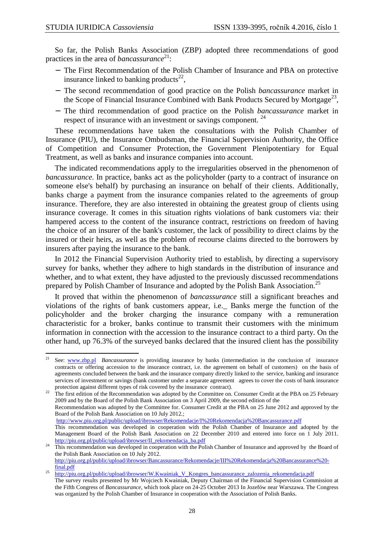So far, the Polish Banks Association (ZBP) adopted three recommendations of good practices in the area of *bancassurance*<sup>21</sup>:

- − The First Recommendation of the Polish Chamber of Insurance and PBA on protective insurance linked to banking products<sup>22</sup>,
- − The second recommendation of good practice on the Polish *bancassurance* market in the Scope of Financial Insurance Combined with Bank Products Secured by Mortgage<sup>23</sup>,
- − The third recommendation of good practice on the Polish *bancassurance* market in respect of insurance with an investment or savings component.<sup>24</sup>

These recommendations have taken the consultations with the Polish Chamber of Insurance (PIU), the Insurance Ombudsman, the Financial Supervision Authority, the Office of Competition and Consumer Protection, the Government Plenipotentiary for Equal Treatment, as well as banks and insurance companies into account.

The indicated recommendations apply to the irregularities observed in the phenomenon of *bancassurance*. In practice, banks act as the policyholder (party to a contract of insurance on someone else's behalf) by purchasing an insurance on behalf of their clients. Additionally, banks charge a payment from the insurance companies related to the agreements of group insurance. Therefore, they are also interested in obtaining the greatest group of clients using insurance coverage. It comes in this situation rights violations of bank customers via: their hampered access to the content of the insurance contract, restrictions on freedom of having the choice of an insurer of the bank's customer, the lack of possibility to direct claims by the insured or their heirs, as well as the problem of recourse claims directed to the borrowers by insurers after paying the insurance to the bank.

In 2012 the Financial Supervision Authority tried to establish, by directing a supervisory survey for banks, whether they adhere to high standards in the distribution of insurance and whether, and to what extent, they have adjusted to the previously discussed recommendations prepared by Polish Chamber of Insurance and adopted by the Polish Bank Association.<sup>25</sup>

It proved that within the phenomenon of *bancassurance* still a significant breaches and violations of the rights of bank customers appear, i.e.\_ Banks merge the function of the policyholder and the broker charging the insurance company with a remuneration characteristic for a broker, banks continue to transmit their customers with the minimum information in connection with the accession to the insurance contract to a third party. On the other hand, up 76.3% of the surveyed banks declared that the insured client has the possibility

<sup>22</sup> The first edition of the Recommendation was adopted by the Committee on. Consumer Credit at the PBA on 25 February 2009 and by the Board of the Polish Bank Association on 3 April 2009, the second edition of the Recommendation was adopted by the Committee for. Consumer Credit at the PBA on 25 June 2012 and approved by the Board of the Polish Bank Association on 10 July 2012.; http://www.piu.org.pl/public/upload/ibrowser/Rekomendacje/I%20Rekomendacja%20Bancassurance.pdf This recommendation was developed in cooperation with the Polish Chamber of Insurance and adopted by the

 $21$ <sup>21</sup> See: www.zbp.pl *Bancassurance* is providing insurance by banks (intermediation in the conclusion of insurance contracts or offering accession to the insurance contract, i.e. the agreement on behalf of customers) on the basis of agreements concluded between the bank and the insurance company directly linked to the service, banking and insurance services of investment or savings (bank customer under a separate agreement agrees to cover the costs of bank insurance protection against different types of risk covered by the insurance contract).

Management Board of the Polish Bank Association on 22 December 2010 and entered into force on 1 July 2011. http://piu.org.pl/public/upload/ibrowser/II\_rekomendacja\_ba.pdf

<sup>24</sup> This recommendation was developed in cooperation with the Polish Chamber of Insurance and approved by the Board of the Polish Bank Association on 10 July 2012. http://piu.org.pl/public/upload/ibrowser/Bancassurance/Rekomendacje/III%20Rekomendacja%20Bancassurance%20-

final.pdf

<sup>25</sup> http://piu.org.pl/public/upload/ibrowser/W.Kwaśniak\_V\_Kongres\_bancassurance\_zalozenia\_rekomendacja.pdf The survey results presented by Mr Wojciech Kwaśniak, Deputy Chairman of the Financial Supervision Commission at the Fifth Congress of *Bancassurance*, which took place on 24-25 October 2013 In Jozefów near Warszawa. The Congress was organized by the Polish Chamber of Insurance in cooperation with the Association of Polish Banks.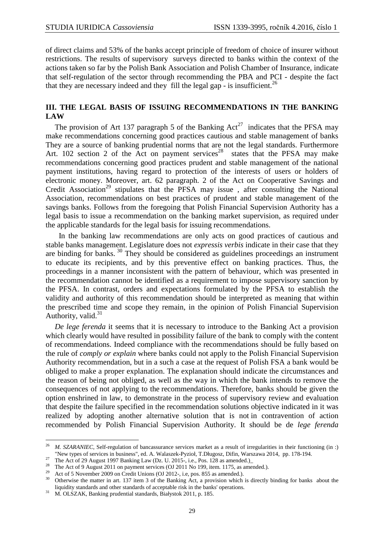of direct claims and 53% of the banks accept principle of freedom of choice of insurer without restrictions. The results of supervisory surveys directed to banks within the context of the actions taken so far by the Polish Bank Association and Polish Chamber of Insurance, indicate that self-regulation of the sector through recommending the PBA and PCI - despite the fact that they are necessary indeed and they fill the legal gap - is insufficient.<sup>26</sup>

#### **III. THE LEGAL BASIS OF ISSUING RECOMMENDATIONS IN THE BANKING LAW**

The provision of Art 137 paragraph 5 of the Banking  $Act^{27}$  indicates that the PFSA may make recommendations concerning good practices cautious and stable management of banks They are a source of banking prudential norms that are not the legal standards. Furthermore Art. 102 section 2 of the Act on payment services<sup>28</sup> states that the PFSA may make recommendations concerning good practices prudent and stable management of the national payment institutions, having regard to protection of the interests of users or holders of electronic money. Moreover, art. 62 paragraph. 2 of the Act on Cooperative Savings and Credit Association<sup>29</sup> stipulates that the PFSA may issue, after consulting the National Association, recommendations on best practices of prudent and stable management of the savings banks. Follows from the foregoing that Polish Financial Supervision Authority has a legal basis to issue a recommendation on the banking market supervision, as required under the applicable standards for the legal basis for issuing recommendations.

 In the banking law recommendations are only acts on good practices of cautious and stable banks management. Legislature does not *expressis verbis* indicate in their case that they are binding for banks.<sup>30</sup> They should be considered as guidelines proceedings an instrument to educate its recipients, and by this preventive effect on banking practices. Thus, the proceedings in a manner inconsistent with the pattern of behaviour, which was presented in the recommendation cannot be identified as a requirement to impose supervisory sanction by the PFSA. In contrast, orders and expectations formulated by the PFSA to establish the validity and authority of this recommendation should be interpreted as meaning that within the prescribed time and scope they remain, in the opinion of Polish Financial Supervision Authority, valid. $31$ 

*De lege ferenda* it seems that it is necessary to introduce to the Banking Act a provision which clearly would have resulted in possibility failure of the bank to comply with the content of recommendations. Indeed compliance with the recommendations should be fully based on the rule of *comply or explain* where banks could not apply to the Polish Financial Supervision Authority recommendation, but in a such a case at the request of Polish FSA a bank would be obliged to make a proper explanation. The explanation should indicate the circumstances and the reason of being not obliged, as well as the way in which the bank intends to remove the consequences of not applying to the recommendations. Therefore, banks should be given the option enshrined in law, to demonstrate in the process of supervisory review and evaluation that despite the failure specified in the recommendation solutions objective indicated in it was realized by adopting another alternative solution that is not in contravention of action recommended by Polish Financial Supervision Authority. It should be de *lege ferenda*

 26 *M. SZARANIEC*, Self-regulation of bancassurance services market as a result of irregularities in their functioning (in :) "New types of services in business", ed. A. Walaszek-Pyzioł, T.Długosz, Difin, Warszawa 2014, pp. 178-194.

<sup>&</sup>lt;sup>27</sup> The Act of 29 August 1997 Banking Law (Dz. U. 2015-, i.e., Pos. 128 as amended.)

<sup>&</sup>lt;sup>28</sup> The Act of 9 August 2011 on payment services (OJ 2011 No 199, item. 1175, as amended.).

<sup>&</sup>lt;sup>29</sup> Act of 5 November 2009 on Credit Unions (OJ 2012-, i.e, pos. 855 as amended.).

Otherwise the matter in art. 137 item 3 of the Banking Act, a provision which is directly binding for banks about the liquidity standards and other standards of acceptable risk in the banks' operations.

<sup>31</sup> M. OLSZAK, Banking prudential standards, Białystok 2011, p. 185.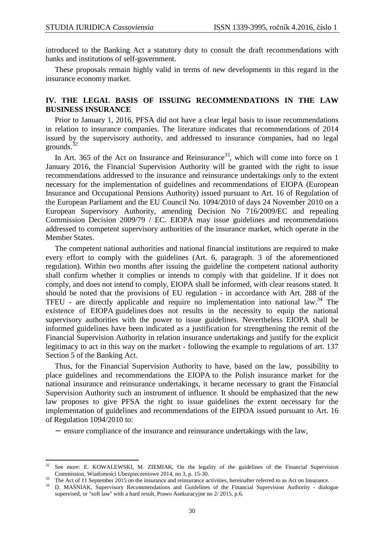$\overline{a}$ 

introduced to the Banking Act a statutory duty to consult the draft recommendations with banks and institutions of self-government.

These proposals remain highly valid in terms of new developments in this regard in the insurance economy market.

## **IV. THE LEGAL BASIS OF ISSUING RECOMMENDATIONS IN THE LAW BUSINESS INSURANCE**

Prior to January 1, 2016, PFSA did not have a clear legal basis to issue recommendations in relation to insurance companies. The literature indicates that recommendations of 2014 issued by the supervisory authority, and addressed to insurance companies, had no legal grounds. $32$ 

In Art. 365 of the Act on Insurance and Reinsurance<sup>33</sup>, which will come into force on 1 January 2016, the Financial Supervision Authority will be granted with the right to issue recommendations addressed to the insurance and reinsurance undertakings only to the extent necessary for the implementation of guidelines and recommendations of EIOPA (European Insurance and Occupational Pensions Authority) issued pursuant to Art. 16 of Regulation of the European Parliament and the EU Council No. 1094/2010 of days 24 November 2010 on a European Supervisory Authority, amending Decision No 716/2009/EC and repealing Commission Decision 2009/79 / EC. EIOPA may issue guidelines and recommendations addressed to competent supervisory authorities of the insurance market, which operate in the Member States.

The competent national authorities and national financial institutions are required to make every effort to comply with the guidelines (Art. 6, paragraph. 3 of the aforementioned regulation). Within two months after issuing the guideline the competent national authority shall confirm whether it complies or intends to comply with that guideline. If it does not comply, and does not intend to comply, EIOPA shall be informed, with clear reasons stated. It should be noted that the provisions of EU regulation - in accordance with Art. 288 of the TFEU - are directly applicable and require no implementation into national law.<sup>34</sup> The existence of EIOPA guidelines does not results in the necessity to equip the national supervisory authorities with the power to issue guidelines. Nevertheless EIOPA shall be informed guidelines have been indicated as a justification for strengthening the remit of the Financial Supervision Authority in relation insurance undertakings and justify for the explicit legitimacy to act in this way on the market - following the example to regulations of art. 137 Section 5 of the Banking Act.

Thus, for the Financial Supervision Authority to have, based on the law, possibility to place guidelines and recommendations the EIOPA to the Polish insurance market for the national insurance and reinsurance undertakings, it became necessary to grant the Financial Supervision Authority such an instrument of influence. It should be emphasized that the new law proposes to give PFSA the right to issue guidelines the extent necessary for the implementation of guidelines and recommendations of the EIPOA issued pursuant to Art. 16 of Regulation 1094/2010 to:

− ensure compliance of the insurance and reinsurance undertakings with the law,

See more: E. KOWALEWSKI, M. ZIEMIAK, On the legality of the guidelines of the Financial Supervision Commission, Wiadomości Ubezpieczeniowe 2014, no 3, p. 15-30.

<sup>&</sup>lt;sup>33</sup> The Act of 11 September 2015 on the insurance and reinsurance activities, hereinafter referred to as Act on Insurance.

<sup>34</sup> D. MAŚNIAK, Supervisory Recommendations and Guidelines of the Financial Supervision Authority - dialogue supervised, or "soft law" with a hard result, Prawo Asekuracyjne no 2/ 2015, p.6.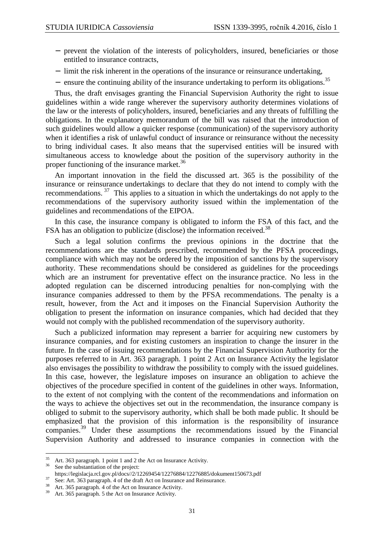- − prevent the violation of the interests of policyholders, insured, beneficiaries or those entitled to insurance contracts,
- − limit the risk inherent in the operations of the insurance or reinsurance undertaking,
- − ensure the continuing ability of the insurance undertaking to perform its obligations.<sup>35</sup>

Thus, the draft envisages granting the Financial Supervision Authority the right to issue guidelines within a wide range wherever the supervisory authority determines violations of the law or the interests of policyholders, insured, beneficiaries and any threats of fulfilling the obligations. In the explanatory memorandum of the bill was raised that the introduction of such guidelines would allow a quicker response (communication) of the supervisory authority when it identifies a risk of unlawful conduct of insurance or reinsurance without the necessity to bring individual cases. It also means that the supervised entities will be insured with simultaneous access to knowledge about the position of the supervisory authority in the proper functioning of the insurance market.<sup>36</sup>

An important innovation in the field the discussed art. 365 is the possibility of the insurance or reinsurance undertakings to declare that they do not intend to comply with the recommendations.<sup>37</sup> This applies to a situation in which the undertakings do not apply to the recommendations of the supervisory authority issued within the implementation of the guidelines and recommendations of the EIPOA.

In this case, the insurance company is obligated to inform the FSA of this fact, and the FSA has an obligation to publicize (disclose) the information received.<sup>38</sup>

Such a legal solution confirms the previous opinions in the doctrine that the recommendations are the standards prescribed, recommended by the PFSA proceedings, compliance with which may not be ordered by the imposition of sanctions by the supervisory authority. These recommendations should be considered as guidelines for the proceedings which are an instrument for preventative effect on the insurance practice. No less in the adopted regulation can be discerned introducing penalties for non-complying with the insurance companies addressed to them by the PFSA recommendations. The penalty is a result, however, from the Act and it imposes on the Financial Supervision Authority the obligation to present the information on insurance companies, which had decided that they would not comply with the published recommendation of the supervisory authority.

Such a publicized information may represent a barrier for acquiring new customers by insurance companies, and for existing customers an inspiration to change the insurer in the future. In the case of issuing recommendations by the Financial Supervision Authority for the purposes referred to in Art. 363 paragraph. 1 point 2 Act on Insurance Activity the legislator also envisages the possibility to withdraw the possibility to comply with the issued guidelines. In this case, however, the legislature imposes on insurance an obligation to achieve the objectives of the procedure specified in content of the guidelines in other ways. Information, to the extent of not complying with the content of the recommendations and information on the ways to achieve the objectives set out in the recommendation, the insurance company is obliged to submit to the supervisory authority, which shall be both made public. It should be emphasized that the provision of this information is the responsibility of insurance companies.<sup>39</sup> Under these assumptions the recommendations issued by the Financial Supervision Authority and addressed to insurance companies in connection with the

<sup>35</sup>  $\frac{35}{10}$  Art. 363 paragraph. 1 point 1 and 2 the Act on Insurance Activity.

See the substantiation of the project:

https://legislacja.rcl.gov.pl/docs//2/12269454/12276884/12276885/dokument150673.pdf

<sup>37</sup> See: Art. 363 paragraph. 4 of the draft Act on Insurance and Reinsurance.

 $\frac{38}{39}$  Art. 365 paragraph. 4 of the Act on Insurance Activity.

Art. 365 paragraph. 5 the Act on Insurance Activity.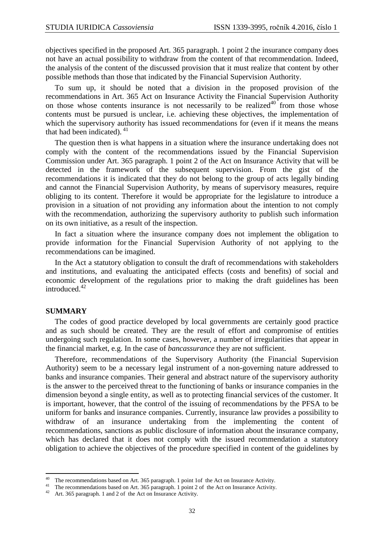objectives specified in the proposed Art. 365 paragraph. 1 point 2 the insurance company does not have an actual possibility to withdraw from the content of that recommendation. Indeed, the analysis of the content of the discussed provision that it must realize that content by other possible methods than those that indicated by the Financial Supervision Authority.

To sum up, it should be noted that a division in the proposed provision of the recommendations in Art. 365 Act on Insurance Activity the Financial Supervision Authority on those whose contents insurance is not necessarily to be realized<sup>40</sup> from those whose contents must be pursued is unclear, i.e. achieving these objectives, the implementation of which the supervisory authority has issued recommendations for (even if it means the means that had been indicated).  $41$ 

The question then is what happens in a situation where the insurance undertaking does not comply with the content of the recommendations issued by the Financial Supervision Commission under Art. 365 paragraph. 1 point 2 of the Act on Insurance Activity that will be detected in the framework of the subsequent supervision. From the gist of the recommendations it is indicated that they do not belong to the group of acts legally binding and cannot the Financial Supervision Authority, by means of supervisory measures, require obliging to its content. Therefore it would be appropriate for the legislature to introduce a provision in a situation of not providing any information about the intention to not comply with the recommendation, authorizing the supervisory authority to publish such information on its own initiative, as a result of the inspection.

In fact a situation where the insurance company does not implement the obligation to provide information for the Financial Supervision Authority of not applying to the recommendations can be imagined.

In the Act a statutory obligation to consult the draft of recommendations with stakeholders and institutions, and evaluating the anticipated effects (costs and benefits) of social and economic development of the regulations prior to making the draft guidelines has been introduced<sup>42</sup>

#### **SUMMARY**

 $\overline{a}$ 

The codes of good practice developed by local governments are certainly good practice and as such should be created. They are the result of effort and compromise of entities undergoing such regulation. In some cases, however, a number of irregularities that appear in the financial market, e.g. In the case of *bancassurance* they are not sufficient.

Therefore, recommendations of the Supervisory Authority (the Financial Supervision Authority) seem to be a necessary legal instrument of a non-governing nature addressed to banks and insurance companies. Their general and abstract nature of the supervisory authority is the answer to the perceived threat to the functioning of banks or insurance companies in the dimension beyond a single entity, as well as to protecting financial services of the customer. It is important, however, that the control of the issuing of recommendations by the PFSA to be uniform for banks and insurance companies. Currently, insurance law provides a possibility to withdraw of an insurance undertaking from the implementing the content of recommendations, sanctions as public disclosure of information about the insurance company, which has declared that it does not comply with the issued recommendation a statutory obligation to achieve the objectives of the procedure specified in content of the guidelines by

<sup>&</sup>lt;sup>40</sup> The recommendations based on Art. 365 paragraph. 1 point 1of the Act on Insurance Activity.

<sup>&</sup>lt;sup>41</sup> The recommendations based on Art. 365 paragraph. 1 point 2 of the Act on Insurance Activity.

<sup>42</sup> Art. 365 paragraph. 1 and 2 of the Act on Insurance Activity.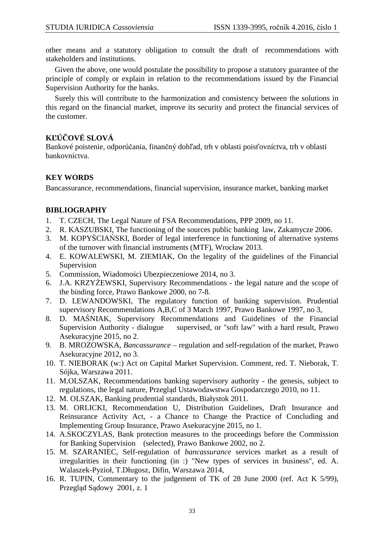other means and a statutory obligation to consult the draft of recommendations with stakeholders and institutions.

Given the above, one would postulate the possibility to propose a statutory guarantee of the principle of comply or explain in relation to the recommendations issued by the Financial Supervision Authority for the banks.

Surely this will contribute to the harmonization and consistency between the solutions in this regard on the financial market, improve its security and protect the financial services of the customer.

# **KĽÚČOVÉ SLOVÁ**

Bankové poistenie, odporúčania, finančný dohľad, trh v oblasti poisťovníctva, trh v oblasti bankovníctva.

# **KEY WORDS**

Bancassurance*,* recommendations, financial supervision, insurance market, banking market

## **BIBLIOGRAPHY**

- 1. T. CZECH, The Legal Nature of FSA Recommendations, PPP 2009, no 11.
- 2. R. KASZUBSKI, The functioning of the sources public banking law, Zakamycze 2006.
- 3. M. KOPYŚCIAŃSKI, Border of legal interference in functioning of alternative systems of the turnover with financial instruments (MTF), Wrocław 2013.
- 4. E. KOWALEWSKI, M. ZIEMIAK, On the legality of the guidelines of the Financial Supervision
- 5. Commission, Wiadomości Ubezpieczeniowe 2014, no 3.
- 6. J.A. KRZYŻEWSKI, Supervisory Recommendations the legal nature and the scope of the binding force, Prawo Bankowe 2000, no 7-8.
- 7. D. LEWANDOWSKI, The regulatory function of banking supervision. Prudential supervisory Recommendations A,B,C of 3 March 1997, Prawo Bankowe 1997, no 3,
- 8. D. MAŚNIAK, Supervisory Recommendations and Guidelines of the Financial Supervision Authority - dialogue supervised, or "soft law" with a hard result, Prawo Asekuracyjne 2015, no 2.
- 9. B. MROZOWSKA, *Bancassurance*  regulation and self-regulation of the market, Prawo Asekuracyjne 2012, no 3.
- 10. T. NIEBORAK (w:) Act on Capital Market Supervision. Comment, red. T. Nieborak, T. Sójka, Warszawa 2011.
- 11. M.OLSZAK, Recommendations banking supervisory authority the genesis, subject to regulations, the legal nature, Przegląd Ustawodawstwa Gospodarczego 2010, no 11.
- 12. M. OLSZAK, Banking prudential standards, Białystok 2011.
- 13. M. ORLICKI, Recommendation U, Distribution Guidelines, Draft Insurance and Reinsurance Activity Act, - a Chance to Change the Practice of Concluding and Implementing Group Insurance, Prawo Asekuracyjne 2015, no 1.
- 14. A.SKOCZYLAS, Bank protection measures to the proceedings before the Commission for Banking Supervision (selected), Prawo Bankowe 2002, no 2.
- 15. M. SZARANIEC, Self-regulation of *bancassurance* services market as a result of irregularities in their functioning (in :) "New types of services in business", ed. A. Walaszek-Pyzioł, T.Długosz, Difin, Warszawa 2014,
- 16. R. TUPIN, Commentary to the judgement of TK of 28 June 2000 (ref. Act K 5/99), Przegląd Sądowy 2001, z. 1